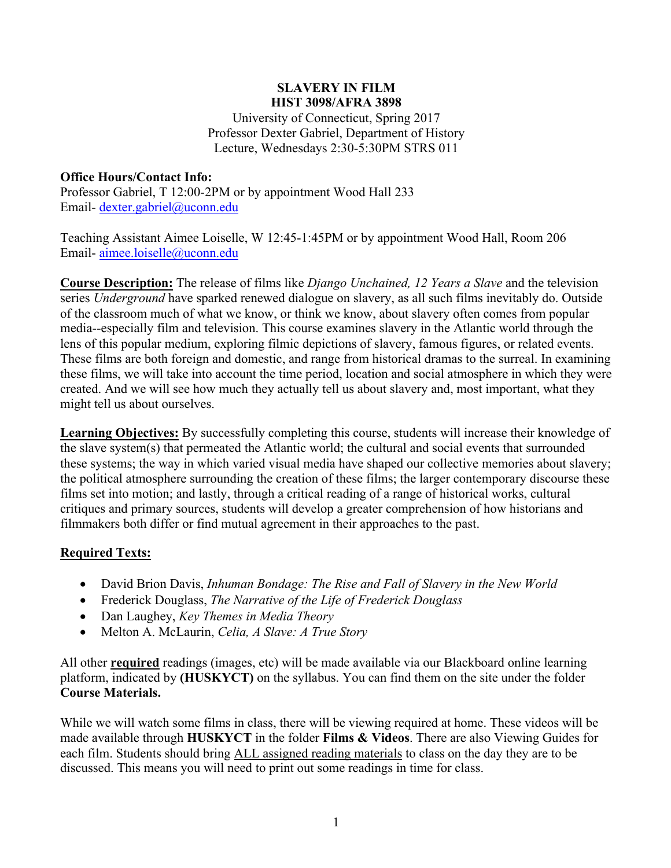#### **SLAVERY IN FILM HIST 3098/AFRA 3898**

University of Connecticut, Spring 2017 Professor Dexter Gabriel, Department of History Lecture, Wednesdays 2:30-5:30PM STRS 011

# **Office Hours/Contact Info:**

Professor Gabriel, T 12:00-2PM or by appointment Wood Hall 233 Email- dexter.gabriel@uconn.edu

Teaching Assistant Aimee Loiselle, W 12:45-1:45PM or by appointment Wood Hall, Room 206 Email- aimee.loiselle@uconn.edu

**Course Description:** The release of films like *Django Unchained, 12 Years a Slave* and the television series *Underground* have sparked renewed dialogue on slavery, as all such films inevitably do. Outside of the classroom much of what we know, or think we know, about slavery often comes from popular media--especially film and television. This course examines slavery in the Atlantic world through the lens of this popular medium, exploring filmic depictions of slavery, famous figures, or related events. These films are both foreign and domestic, and range from historical dramas to the surreal. In examining these films, we will take into account the time period, location and social atmosphere in which they were created. And we will see how much they actually tell us about slavery and, most important, what they might tell us about ourselves.

**Learning Objectives:** By successfully completing this course, students will increase their knowledge of the slave system(s) that permeated the Atlantic world; the cultural and social events that surrounded these systems; the way in which varied visual media have shaped our collective memories about slavery; the political atmosphere surrounding the creation of these films; the larger contemporary discourse these films set into motion; and lastly, through a critical reading of a range of historical works, cultural critiques and primary sources, students will develop a greater comprehension of how historians and filmmakers both differ or find mutual agreement in their approaches to the past.

# **Required Texts:**

- David Brion Davis, *Inhuman Bondage: The Rise and Fall of Slavery in the New World*
- Frederick Douglass, *The Narrative of the Life of Frederick Douglass*
- Dan Laughey, *Key Themes in Media Theory*
- Melton A. McLaurin, *Celia, A Slave: A True Story*

All other **required** readings (images, etc) will be made available via our Blackboard online learning platform, indicated by **(HUSKYCT)** on the syllabus. You can find them on the site under the folder **Course Materials.**

While we will watch some films in class, there will be viewing required at home. These videos will be made available through **HUSKYCT** in the folder **Films & Videos**. There are also Viewing Guides for each film. Students should bring ALL assigned reading materials to class on the day they are to be discussed. This means you will need to print out some readings in time for class.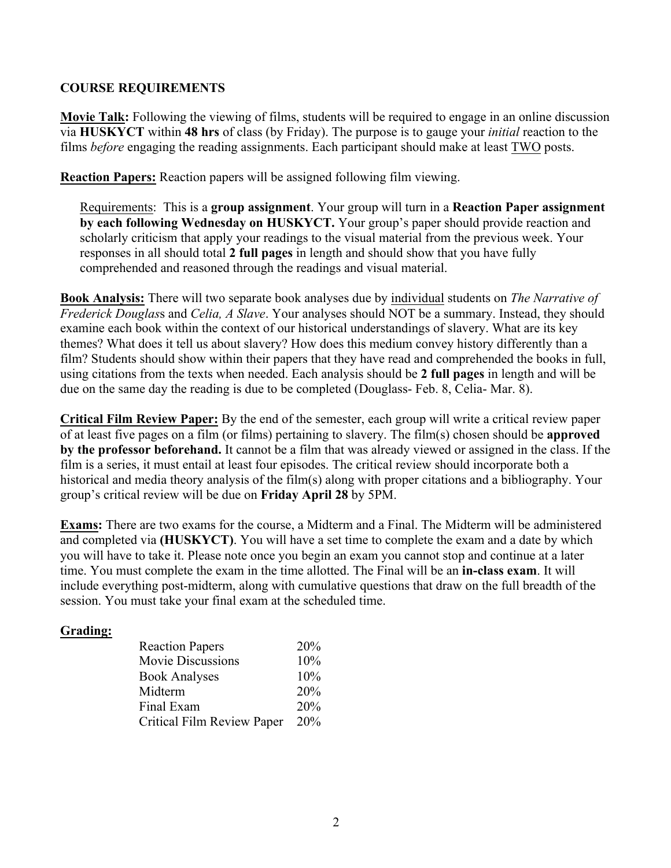### **COURSE REQUIREMENTS**

**Movie Talk:** Following the viewing of films, students will be required to engage in an online discussion via **HUSKYCT** within **48 hrs** of class (by Friday). The purpose is to gauge your *initial* reaction to the films *before* engaging the reading assignments. Each participant should make at least TWO posts.

**Reaction Papers:** Reaction papers will be assigned following film viewing.

Requirements: This is a **group assignment**. Your group will turn in a **Reaction Paper assignment by each following Wednesday on HUSKYCT.** Your group's paper should provide reaction and scholarly criticism that apply your readings to the visual material from the previous week. Your responses in all should total **2 full pages** in length and should show that you have fully comprehended and reasoned through the readings and visual material.

**Book Analysis:** There will two separate book analyses due by individual students on *The Narrative of Frederick Douglas*s and *Celia, A Slave*. Your analyses should NOT be a summary. Instead, they should examine each book within the context of our historical understandings of slavery. What are its key themes? What does it tell us about slavery? How does this medium convey history differently than a film? Students should show within their papers that they have read and comprehended the books in full, using citations from the texts when needed. Each analysis should be **2 full pages** in length and will be due on the same day the reading is due to be completed (Douglass- Feb. 8, Celia- Mar. 8).

**Critical Film Review Paper:** By the end of the semester, each group will write a critical review paper of at least five pages on a film (or films) pertaining to slavery. The film(s) chosen should be **approved by the professor beforehand.** It cannot be a film that was already viewed or assigned in the class. If the film is a series, it must entail at least four episodes. The critical review should incorporate both a historical and media theory analysis of the film(s) along with proper citations and a bibliography. Your group's critical review will be due on **Friday April 28** by 5PM.

**Exams:** There are two exams for the course, a Midterm and a Final. The Midterm will be administered and completed via **(HUSKYCT)**. You will have a set time to complete the exam and a date by which you will have to take it. Please note once you begin an exam you cannot stop and continue at a later time. You must complete the exam in the time allotted. The Final will be an **in-class exam**. It will include everything post-midterm, along with cumulative questions that draw on the full breadth of the session. You must take your final exam at the scheduled time.

# **Grading:**

| <b>Reaction Papers</b>     | <b>20%</b> |
|----------------------------|------------|
| <b>Movie Discussions</b>   | 10%        |
| <b>Book Analyses</b>       | 10%        |
| Midterm                    | 20%        |
| Final Exam                 | 20%        |
| Critical Film Review Paper | 20%        |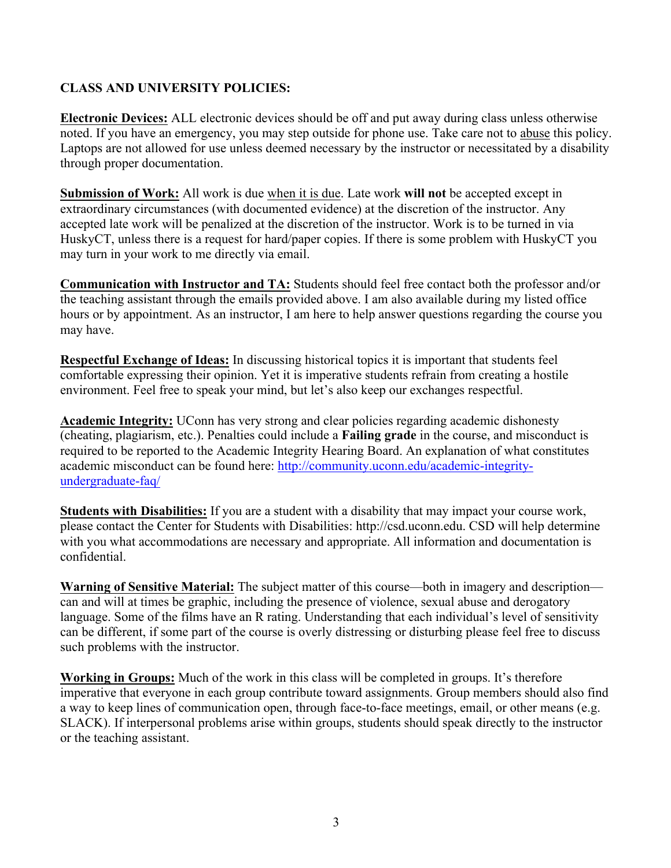# **CLASS AND UNIVERSITY POLICIES:**

**Electronic Devices:** ALL electronic devices should be off and put away during class unless otherwise noted. If you have an emergency, you may step outside for phone use. Take care not to abuse this policy. Laptops are not allowed for use unless deemed necessary by the instructor or necessitated by a disability through proper documentation.

**Submission of Work:** All work is due when it is due. Late work **will not** be accepted except in extraordinary circumstances (with documented evidence) at the discretion of the instructor. Any accepted late work will be penalized at the discretion of the instructor. Work is to be turned in via HuskyCT, unless there is a request for hard/paper copies. If there is some problem with HuskyCT you may turn in your work to me directly via email.

**Communication with Instructor and TA:** Students should feel free contact both the professor and/or the teaching assistant through the emails provided above. I am also available during my listed office hours or by appointment. As an instructor, I am here to help answer questions regarding the course you may have.

**Respectful Exchange of Ideas:** In discussing historical topics it is important that students feel comfortable expressing their opinion. Yet it is imperative students refrain from creating a hostile environment. Feel free to speak your mind, but let's also keep our exchanges respectful.

**Academic Integrity:** UConn has very strong and clear policies regarding academic dishonesty (cheating, plagiarism, etc.). Penalties could include a **Failing grade** in the course, and misconduct is required to be reported to the Academic Integrity Hearing Board. An explanation of what constitutes academic misconduct can be found here: http://community.uconn.edu/academic-integrityundergraduate-faq/

**Students with Disabilities:** If you are a student with a disability that may impact your course work, please contact the Center for Students with Disabilities: http://csd.uconn.edu. CSD will help determine with you what accommodations are necessary and appropriate. All information and documentation is confidential.

**Warning of Sensitive Material:** The subject matter of this course—both in imagery and description can and will at times be graphic, including the presence of violence, sexual abuse and derogatory language. Some of the films have an R rating. Understanding that each individual's level of sensitivity can be different, if some part of the course is overly distressing or disturbing please feel free to discuss such problems with the instructor.

**Working in Groups:** Much of the work in this class will be completed in groups. It's therefore imperative that everyone in each group contribute toward assignments. Group members should also find a way to keep lines of communication open, through face-to-face meetings, email, or other means (e.g. SLACK). If interpersonal problems arise within groups, students should speak directly to the instructor or the teaching assistant.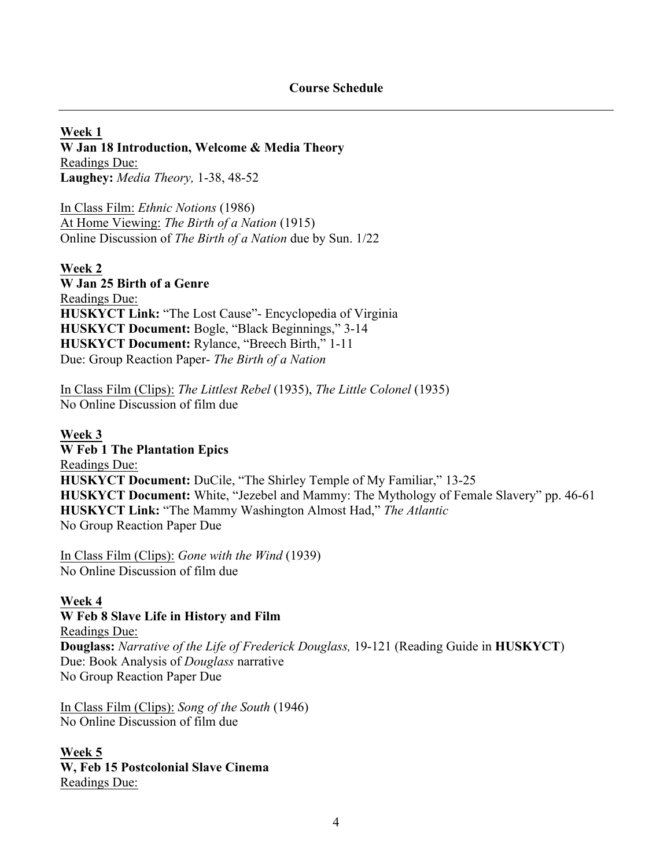**Week 1 W Jan 18 Introduction, Welcome & Media Theory** Readings Due: **Laughey:** *Media Theory,* 1-38, 48-52

In Class Film: *Ethnic Notions* (1986) At Home Viewing: *The Birth of a Nation* (1915) Online Discussion of *The Birth of a Nation* due by Sun. 1/22

**Week 2 W Jan 25 Birth of a Genre** Readings Due: **HUSKYCT Link:** "The Lost Cause"- Encyclopedia of Virginia **HUSKYCT Document:** Bogle, "Black Beginnings," 3-14 **HUSKYCT Document:** Rylance, "Breech Birth," 1-11 Due: Group Reaction Paper- *The Birth of a Nation*

In Class Film (Clips): *The Littlest Rebel* (1935), *The Little Colonel* (1935) No Online Discussion of film due

**Week 3 W Feb 1 The Plantation Epics** Readings Due: **HUSKYCT Document:** DuCile, "The Shirley Temple of My Familiar," 13-25 **HUSKYCT Document:** White, "Jezebel and Mammy: The Mythology of Female Slavery" pp. 46-61 **HUSKYCT Link:** "The Mammy Washington Almost Had," *The Atlantic* No Group Reaction Paper Due

In Class Film (Clips): *Gone with the Wind* (1939) No Online Discussion of film due

#### **Week 4**

**W Feb 8 Slave Life in History and Film** Readings Due: **Douglass:** *Narrative of the Life of Frederick Douglass,* 19-121 (Reading Guide in **HUSKYCT**) Due: Book Analysis of *Douglass* narrative No Group Reaction Paper Due

In Class Film (Clips): *Song of the South* (1946) No Online Discussion of film due

#### **Week 5**

**W, Feb 15 Postcolonial Slave Cinema** Readings Due: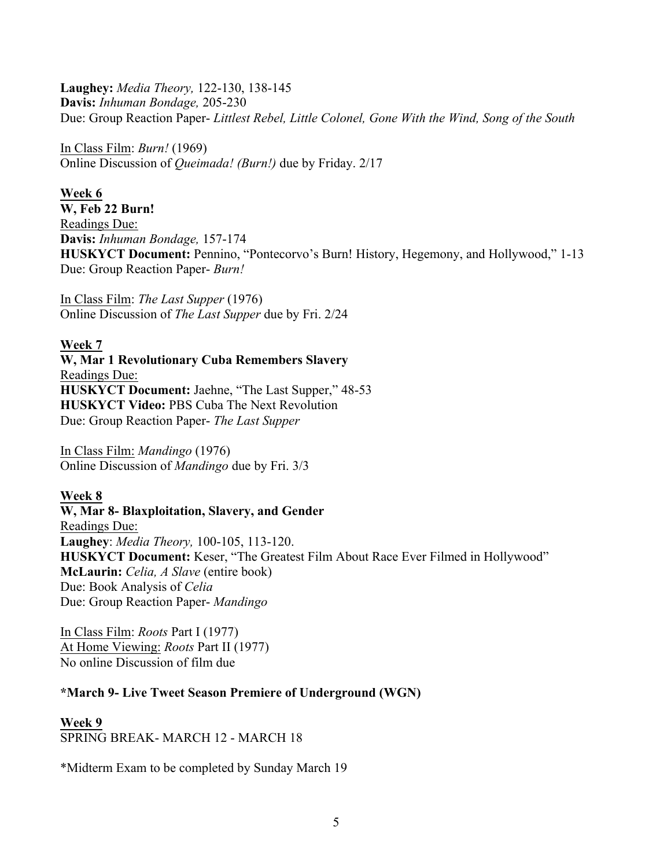**Laughey:** *Media Theory,* 122-130, 138-145 **Davis:** *Inhuman Bondage,* 205-230 Due: Group Reaction Paper- *Littlest Rebel, Little Colonel, Gone With the Wind, Song of the South*

In Class Film: *Burn!* (1969) Online Discussion of *Queimada! (Burn!)* due by Friday. 2/17

# **Week 6**

**W, Feb 22 Burn!**  Readings Due: **Davis:** *Inhuman Bondage,* 157-174 **HUSKYCT Document:** Pennino, "Pontecorvo's Burn! History, Hegemony, and Hollywood," 1-13 Due: Group Reaction Paper- *Burn!* 

In Class Film: *The Last Supper* (1976) Online Discussion of *The Last Supper* due by Fri. 2/24

### **Week 7**

**W, Mar 1 Revolutionary Cuba Remembers Slavery** Readings Due: **HUSKYCT Document:** Jaehne, "The Last Supper," 48-53 **HUSKYCT Video:** PBS Cuba The Next Revolution Due: Group Reaction Paper- *The Last Supper*

In Class Film: *Mandingo* (1976) Online Discussion of *Mandingo* due by Fri. 3/3

# **Week 8**

**W, Mar 8- Blaxploitation, Slavery, and Gender** Readings Due: **Laughey**: *Media Theory,* 100-105, 113-120. **HUSKYCT Document:** Keser, "The Greatest Film About Race Ever Filmed in Hollywood" **McLaurin:** *Celia, A Slave* (entire book) Due: Book Analysis of *Celia* Due: Group Reaction Paper- *Mandingo*

In Class Film: *Roots* Part I (1977) At Home Viewing: *Roots* Part II (1977) No online Discussion of film due

# **\*March 9- Live Tweet Season Premiere of Underground (WGN)**

# **Week 9** SPRING BREAK- MARCH 12 - MARCH 18

\*Midterm Exam to be completed by Sunday March 19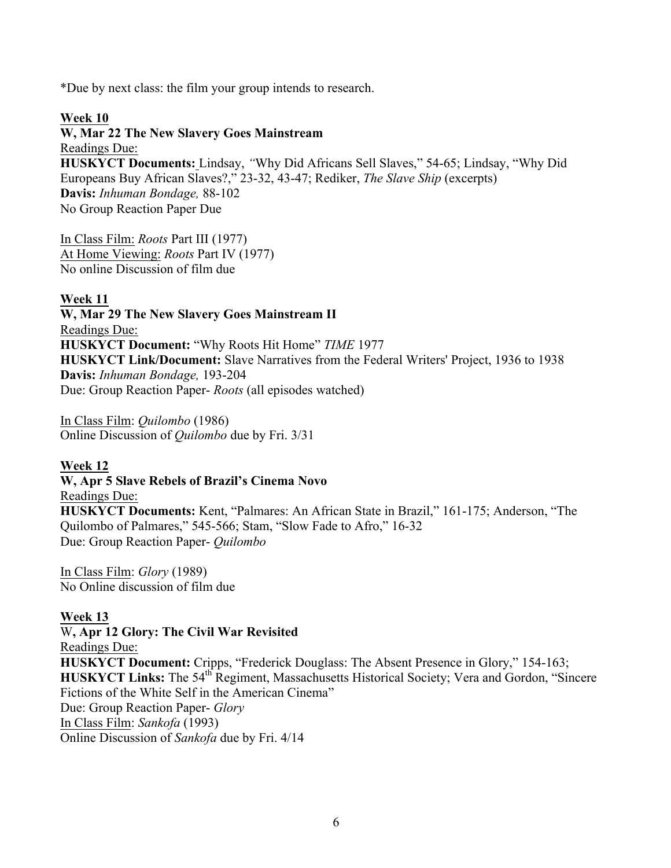\*Due by next class: the film your group intends to research.

# **Week 10**

**W, Mar 22 The New Slavery Goes Mainstream**  Readings Due: **HUSKYCT Documents:** Lindsay, *"*Why Did Africans Sell Slaves," 54-65; Lindsay, "Why Did Europeans Buy African Slaves?," 23-32, 43-47; Rediker, *The Slave Ship* (excerpts) **Davis:** *Inhuman Bondage,* 88-102 No Group Reaction Paper Due

In Class Film: *Roots* Part III (1977) At Home Viewing: *Roots* Part IV (1977) No online Discussion of film due

### **Week 11**

**W, Mar 29 The New Slavery Goes Mainstream II** Readings Due: **HUSKYCT Document:** "Why Roots Hit Home" *TIME* 1977 **HUSKYCT Link/Document:** Slave Narratives from the Federal Writers' Project, 1936 to 1938 **Davis:** *Inhuman Bondage,* 193-204 Due: Group Reaction Paper- *Roots* (all episodes watched)

In Class Film: *Quilombo* (1986) Online Discussion of *Quilombo* due by Fri. 3/31

# **Week 12**

#### **W, Apr 5 Slave Rebels of Brazil's Cinema Novo**

Readings Due: **HUSKYCT Documents:** Kent, "Palmares: An African State in Brazil," 161-175; Anderson, "The Quilombo of Palmares," 545-566; Stam, "Slow Fade to Afro," 16-32 Due: Group Reaction Paper- *Quilombo*

In Class Film: *Glory* (1989) No Online discussion of film due

# **Week 13**

W**, Apr 12 Glory: The Civil War Revisited**  Readings Due: **HUSKYCT Document:** Cripps, "Frederick Douglass: The Absent Presence in Glory," 154-163; **HUSKYCT Links:** The 54<sup>th</sup> Regiment, Massachusetts Historical Society; Vera and Gordon, "Sincere Fictions of the White Self in the American Cinema" Due: Group Reaction Paper- *Glory* In Class Film: *Sankofa* (1993) Online Discussion of *Sankofa* due by Fri. 4/14